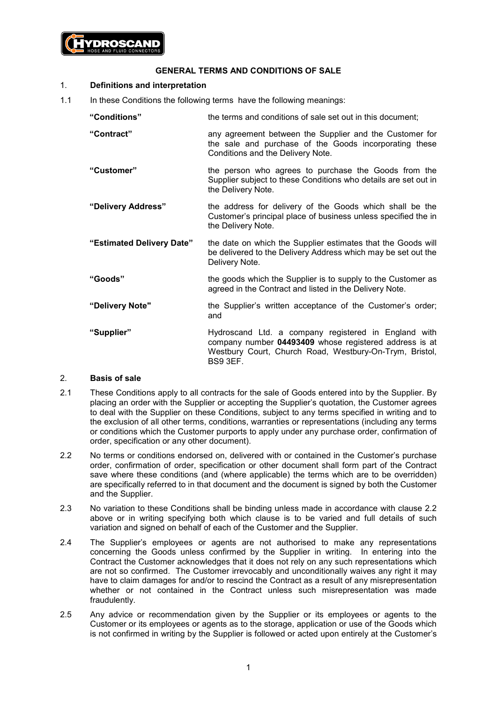

### **GENERAL TERMS AND CONDITIONS OF SALE**

#### 1. **Definitions and interpretation**

- 1.1 In these Conditions the following terms have the following meanings:
	- **"Conditions"** the terms and conditions of sale set out in this document;
	- **"Contract"** any agreement between the Supplier and the Customer for the sale and purchase of the Goods incorporating these Conditions and the Delivery Note.
	- **"Customer"** the person who agrees to purchase the Goods from the Supplier subject to these Conditions who details are set out in the Delivery Note.
	- **"Delivery Address"** the address for delivery of the Goods which shall be the Customer's principal place of business unless specified the in the Delivery Note.
	- **"Estimated Delivery Date"** the date on which the Supplier estimates that the Goods will be delivered to the Delivery Address which may be set out the Delivery Note.
	- **"Goods"** the goods which the Supplier is to supply to the Customer as agreed in the Contract and listed in the Delivery Note.
	- **"Delivery Note"** the Supplier's written acceptance of the Customer's order; and
	- "Supplier" **Hydroscand Ltd. a company registered in England with** company number **04493409** whose registered address is at Westbury Court, Church Road, Westbury-On-Trym, Bristol, BS9 3EF.

# 2. **Basis of sale**

- 2.1 These Conditions apply to all contracts for the sale of Goods entered into by the Supplier. By placing an order with the Supplier or accepting the Supplier's quotation, the Customer agrees to deal with the Supplier on these Conditions, subject to any terms specified in writing and to the exclusion of all other terms, conditions, warranties or representations (including any terms or conditions which the Customer purports to apply under any purchase order, confirmation of order, specification or any other document).
- <span id="page-0-0"></span>2.2 No terms or conditions endorsed on, delivered with or contained in the Customer's purchase order, confirmation of order, specification or other document shall form part of the Contract save where these conditions (and (where applicable) the terms which are to be overridden) are specifically referred to in that document and the document is signed by both the Customer and the Supplier.
- 2.3 No variation to these Conditions shall be binding unless made in accordance with clause [2.2](#page-0-0) above or in writing specifying both which clause is to be varied and full details of such variation and signed on behalf of each of the Customer and the Supplier.
- 2.4 The Supplier's employees or agents are not authorised to make any representations concerning the Goods unless confirmed by the Supplier in writing. In entering into the Contract the Customer acknowledges that it does not rely on any such representations which are not so confirmed. The Customer irrevocably and unconditionally waives any right it may have to claim damages for and/or to rescind the Contract as a result of any misrepresentation whether or not contained in the Contract unless such misrepresentation was made fraudulently.
- 2.5 Any advice or recommendation given by the Supplier or its employees or agents to the Customer or its employees or agents as to the storage, application or use of the Goods which is not confirmed in writing by the Supplier is followed or acted upon entirely at the Customer's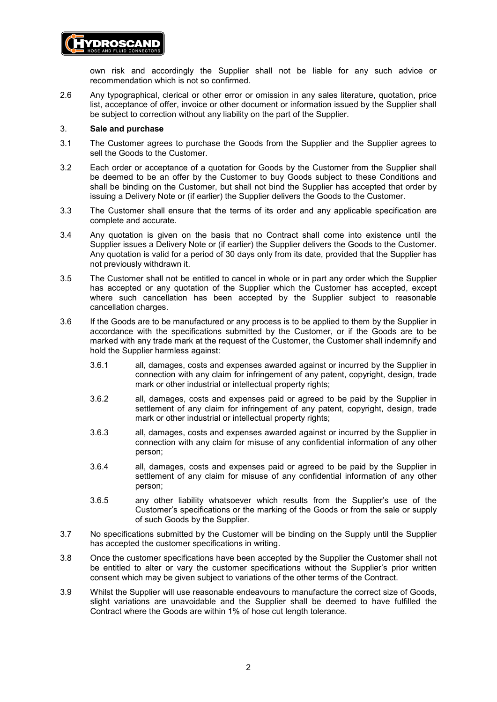

2.6 Any typographical, clerical or other error or omission in any sales literature, quotation, price list, acceptance of offer, invoice or other document or information issued by the Supplier shall be subject to correction without any liability on the part of the Supplier.

#### 3. **Sale and purchase**

**/DROSCAND** 

- 3.1 The Customer agrees to purchase the Goods from the Supplier and the Supplier agrees to sell the Goods to the Customer.
- 3.2 Each order or acceptance of a quotation for Goods by the Customer from the Supplier shall be deemed to be an offer by the Customer to buy Goods subject to these Conditions and shall be binding on the Customer, but shall not bind the Supplier has accepted that order by issuing a Delivery Note or (if earlier) the Supplier delivers the Goods to the Customer.
- 3.3 The Customer shall ensure that the terms of its order and any applicable specification are complete and accurate.
- 3.4 Any quotation is given on the basis that no Contract shall come into existence until the Supplier issues a Delivery Note or (if earlier) the Supplier delivers the Goods to the Customer. Any quotation is valid for a period of 30 days only from its date, provided that the Supplier has not previously withdrawn it.
- 3.5 The Customer shall not be entitled to cancel in whole or in part any order which the Supplier has accepted or any quotation of the Supplier which the Customer has accepted, except where such cancellation has been accepted by the Supplier subject to reasonable cancellation charges.
- 3.6 If the Goods are to be manufactured or any process is to be applied to them by the Supplier in accordance with the specifications submitted by the Customer, or if the Goods are to be marked with any trade mark at the request of the Customer, the Customer shall indemnify and hold the Supplier harmless against:
	- 3.6.1 all, damages, costs and expenses awarded against or incurred by the Supplier in connection with any claim for infringement of any patent, copyright, design, trade mark or other industrial or intellectual property rights;
	- 3.6.2 all, damages, costs and expenses paid or agreed to be paid by the Supplier in settlement of any claim for infringement of any patent, copyright, design, trade mark or other industrial or intellectual property rights;
	- 3.6.3 all, damages, costs and expenses awarded against or incurred by the Supplier in connection with any claim for misuse of any confidential information of any other person;
	- 3.6.4 all, damages, costs and expenses paid or agreed to be paid by the Supplier in settlement of any claim for misuse of any confidential information of any other person;
	- 3.6.5 any other liability whatsoever which results from the Supplier's use of the Customer's specifications or the marking of the Goods or from the sale or supply of such Goods by the Supplier.
- 3.7 No specifications submitted by the Customer will be binding on the Supply until the Supplier has accepted the customer specifications in writing.
- 3.8 Once the customer specifications have been accepted by the Supplier the Customer shall not be entitled to alter or vary the customer specifications without the Supplier's prior written consent which may be given subject to variations of the other terms of the Contract.
- 3.9 Whilst the Supplier will use reasonable endeavours to manufacture the correct size of Goods, slight variations are unavoidable and the Supplier shall be deemed to have fulfilled the Contract where the Goods are within 1% of hose cut length tolerance.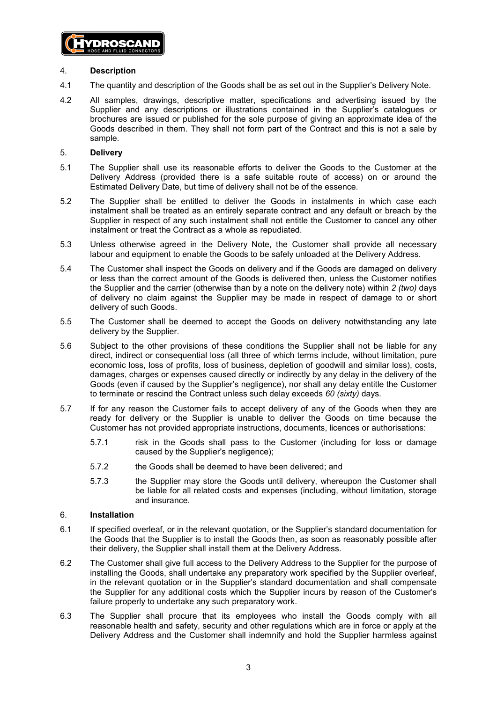

## 4. **Description**

- 4.1 The quantity and description of the Goods shall be as set out in the Supplier's Delivery Note.
- 4.2 All samples, drawings, descriptive matter, specifications and advertising issued by the Supplier and any descriptions or illustrations contained in the Supplier's catalogues or brochures are issued or published for the sole purpose of giving an approximate idea of the Goods described in them. They shall not form part of the Contract and this is not a sale by sample.

### 5. **Delivery**

- 5.1 The Supplier shall use its reasonable efforts to deliver the Goods to the Customer at the Delivery Address (provided there is a safe suitable route of access) on or around the Estimated Delivery Date, but time of delivery shall not be of the essence.
- 5.2 The Supplier shall be entitled to deliver the Goods in instalments in which case each instalment shall be treated as an entirely separate contract and any default or breach by the Supplier in respect of any such instalment shall not entitle the Customer to cancel any other instalment or treat the Contract as a whole as repudiated.
- 5.3 Unless otherwise agreed in the Delivery Note, the Customer shall provide all necessary labour and equipment to enable the Goods to be safely unloaded at the Delivery Address.
- 5.4 The Customer shall inspect the Goods on delivery and if the Goods are damaged on delivery or less than the correct amount of the Goods is delivered then, unless the Customer notifies the Supplier and the carrier (otherwise than by a note on the delivery note) within *2 (two)* days of delivery no claim against the Supplier may be made in respect of damage to or short delivery of such Goods.
- 5.5 The Customer shall be deemed to accept the Goods on delivery notwithstanding any late delivery by the Supplier.
- 5.6 Subject to the other provisions of these conditions the Supplier shall not be liable for any direct, indirect or consequential loss (all three of which terms include, without limitation, pure economic loss, loss of profits, loss of business, depletion of goodwill and similar loss), costs, damages, charges or expenses caused directly or indirectly by any delay in the delivery of the Goods (even if caused by the Supplier's negligence), nor shall any delay entitle the Customer to terminate or rescind the Contract unless such delay exceeds *60 (sixty)* days.
- 5.7 If for any reason the Customer fails to accept delivery of any of the Goods when they are ready for delivery or the Supplier is unable to deliver the Goods on time because the Customer has not provided appropriate instructions, documents, licences or authorisations:
	- 5.7.1 risk in the Goods shall pass to the Customer (including for loss or damage caused by the Supplier's negligence);
	- 5.7.2 the Goods shall be deemed to have been delivered; and
	- 5.7.3 the Supplier may store the Goods until delivery, whereupon the Customer shall be liable for all related costs and expenses (including, without limitation, storage and insurance.

# 6. **Installation**

- 6.1 If specified overleaf, or in the relevant quotation, or the Supplier's standard documentation for the Goods that the Supplier is to install the Goods then, as soon as reasonably possible after their delivery, the Supplier shall install them at the Delivery Address.
- 6.2 The Customer shall give full access to the Delivery Address to the Supplier for the purpose of installing the Goods, shall undertake any preparatory work specified by the Supplier overleaf, in the relevant quotation or in the Supplier's standard documentation and shall compensate the Supplier for any additional costs which the Supplier incurs by reason of the Customer's failure properly to undertake any such preparatory work.
- 6.3 The Supplier shall procure that its employees who install the Goods comply with all reasonable health and safety, security and other regulations which are in force or apply at the Delivery Address and the Customer shall indemnify and hold the Supplier harmless against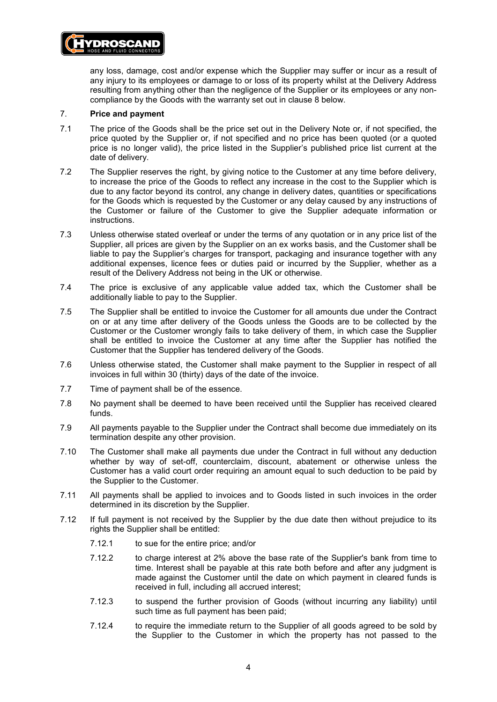

any loss, damage, cost and/or expense which the Supplier may suffer or incur as a result of any injury to its employees or damage to or loss of its property whilst at the Delivery Address resulting from anything other than the negligence of the Supplier or its employees or any noncompliance by the Goods with the warranty set out in clause [8](#page-4-0) below.

#### 7. **Price and payment**

- 7.1 The price of the Goods shall be the price set out in the Delivery Note or, if not specified, the price quoted by the Supplier or, if not specified and no price has been quoted (or a quoted price is no longer valid), the price listed in the Supplier's published price list current at the date of delivery.
- 7.2 The Supplier reserves the right, by giving notice to the Customer at any time before delivery, to increase the price of the Goods to reflect any increase in the cost to the Supplier which is due to any factor beyond its control, any change in delivery dates, quantities or specifications for the Goods which is requested by the Customer or any delay caused by any instructions of the Customer or failure of the Customer to give the Supplier adequate information or instructions.
- 7.3 Unless otherwise stated overleaf or under the terms of any quotation or in any price list of the Supplier, all prices are given by the Supplier on an ex works basis, and the Customer shall be liable to pay the Supplier's charges for transport, packaging and insurance together with any additional expenses, licence fees or duties paid or incurred by the Supplier, whether as a result of the Delivery Address not being in the UK or otherwise.
- 7.4 The price is exclusive of any applicable value added tax, which the Customer shall be additionally liable to pay to the Supplier.
- 7.5 The Supplier shall be entitled to invoice the Customer for all amounts due under the Contract on or at any time after delivery of the Goods unless the Goods are to be collected by the Customer or the Customer wrongly fails to take delivery of them, in which case the Supplier shall be entitled to invoice the Customer at any time after the Supplier has notified the Customer that the Supplier has tendered delivery of the Goods.
- 7.6 Unless otherwise stated, the Customer shall make payment to the Supplier in respect of all invoices in full within 30 (thirty) days of the date of the invoice.
- 7.7 Time of payment shall be of the essence.
- 7.8 No payment shall be deemed to have been received until the Supplier has received cleared funds.
- 7.9 All payments payable to the Supplier under the Contract shall become due immediately on its termination despite any other provision.
- 7.10 The Customer shall make all payments due under the Contract in full without any deduction whether by way of set-off, counterclaim, discount, abatement or otherwise unless the Customer has a valid court order requiring an amount equal to such deduction to be paid by the Supplier to the Customer.
- 7.11 All payments shall be applied to invoices and to Goods listed in such invoices in the order determined in its discretion by the Supplier.
- 7.12 If full payment is not received by the Supplier by the due date then without prejudice to its rights the Supplier shall be entitled:
	- 7.12.1 to sue for the entire price; and/or
	- 7.12.2 to charge interest at 2% above the base rate of the Supplier's bank from time to time. Interest shall be payable at this rate both before and after any judgment is made against the Customer until the date on which payment in cleared funds is received in full, including all accrued interest;
	- 7.12.3 to suspend the further provision of Goods (without incurring any liability) until such time as full payment has been paid;
	- 7.12.4 to require the immediate return to the Supplier of all goods agreed to be sold by the Supplier to the Customer in which the property has not passed to the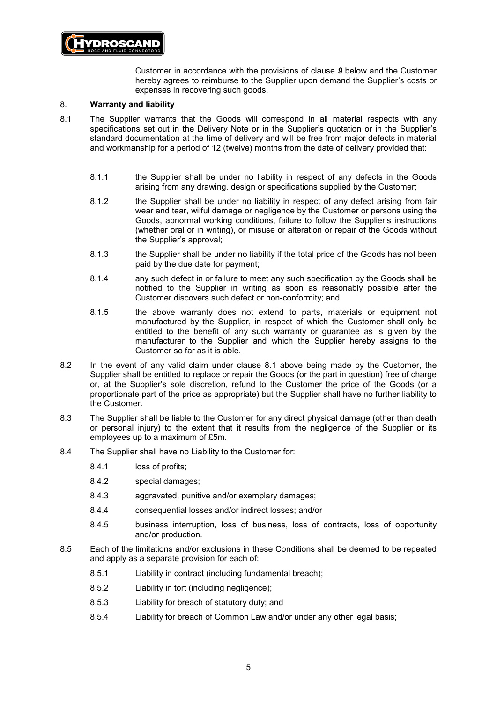

Customer in accordance with the provisions of clause *[9](#page-5-0)* below and the Customer hereby agrees to reimburse to the Supplier upon demand the Supplier's costs or expenses in recovering such goods.

## <span id="page-4-0"></span>8. **Warranty and liability**

- <span id="page-4-1"></span>8.1 The Supplier warrants that the Goods will correspond in all material respects with any specifications set out in the Delivery Note or in the Supplier's quotation or in the Supplier's standard documentation at the time of delivery and will be free from major defects in material and workmanship for a period of 12 (twelve) months from the date of delivery provided that:
	- 8.1.1 the Supplier shall be under no liability in respect of any defects in the Goods arising from any drawing, design or specifications supplied by the Customer;
	- 8.1.2 the Supplier shall be under no liability in respect of any defect arising from fair wear and tear, wilful damage or negligence by the Customer or persons using the Goods, abnormal working conditions, failure to follow the Supplier's instructions (whether oral or in writing), or misuse or alteration or repair of the Goods without the Supplier's approval;
	- 8.1.3 the Supplier shall be under no liability if the total price of the Goods has not been paid by the due date for payment;
	- 8.1.4 any such defect in or failure to meet any such specification by the Goods shall be notified to the Supplier in writing as soon as reasonably possible after the Customer discovers such defect or non-conformity; and
	- 8.1.5 the above warranty does not extend to parts, materials or equipment not manufactured by the Supplier, in respect of which the Customer shall only be entitled to the benefit of any such warranty or guarantee as is given by the manufacturer to the Supplier and which the Supplier hereby assigns to the Customer so far as it is able.
- 8.2 In the event of any valid claim under clause [8.1](#page-4-1) above being made by the Customer, the Supplier shall be entitled to replace or repair the Goods (or the part in question) free of charge or, at the Supplier's sole discretion, refund to the Customer the price of the Goods (or a proportionate part of the price as appropriate) but the Supplier shall have no further liability to the Customer.
- 8.3 The Supplier shall be liable to the Customer for any direct physical damage (other than death or personal injury) to the extent that it results from the negligence of the Supplier or its employees up to a maximum of £5m.
- 8.4 The Supplier shall have no Liability to the Customer for:
	- 8.4.1 loss of profits;
	- 8.4.2 special damages;
	- 8.4.3 aggravated, punitive and/or exemplary damages;
	- 8.4.4 consequential losses and/or indirect losses; and/or
	- 8.4.5 business interruption, loss of business, loss of contracts, loss of opportunity and/or production.
- 8.5 Each of the limitations and/or exclusions in these Conditions shall be deemed to be repeated and apply as a separate provision for each of:
	- 8.5.1 Liability in contract (including fundamental breach);
	- 8.5.2 Liability in tort (including negligence);
	- 8.5.3 Liability for breach of statutory duty; and
	- 8.5.4 Liability for breach of Common Law and/or under any other legal basis;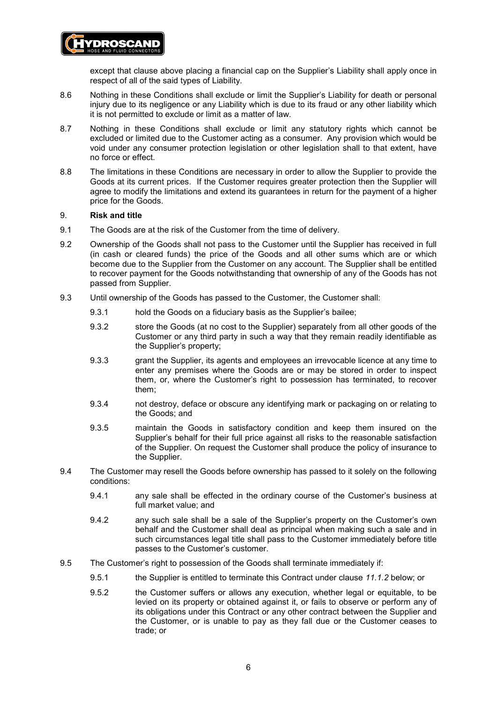## except that clause above placing a financial cap on the Supplier's Liability shall apply once in respect of all of the said types of Liability.

- 8.6 Nothing in these Conditions shall exclude or limit the Supplier's Liability for death or personal injury due to its negligence or any Liability which is due to its fraud or any other liability which it is not permitted to exclude or limit as a matter of law.
- 8.7 Nothing in these Conditions shall exclude or limit any statutory rights which cannot be excluded or limited due to the Customer acting as a consumer. Any provision which would be void under any consumer protection legislation or other legislation shall to that extent, have no force or effect.
- 8.8 The limitations in these Conditions are necessary in order to allow the Supplier to provide the Goods at its current prices. If the Customer requires greater protection then the Supplier will agree to modify the limitations and extend its guarantees in return for the payment of a higher price for the Goods.

#### <span id="page-5-0"></span>9. **Risk and title**

**/DROSCAND** 

- 9.1 The Goods are at the risk of the Customer from the time of delivery.
- 9.2 Ownership of the Goods shall not pass to the Customer until the Supplier has received in full (in cash or cleared funds) the price of the Goods and all other sums which are or which become due to the Supplier from the Customer on any account. The Supplier shall be entitled to recover payment for the Goods notwithstanding that ownership of any of the Goods has not passed from Supplier.
- 9.3 Until ownership of the Goods has passed to the Customer, the Customer shall:
	- 9.3.1 hold the Goods on a fiduciary basis as the Supplier's bailee;
	- 9.3.2 store the Goods (at no cost to the Supplier) separately from all other goods of the Customer or any third party in such a way that they remain readily identifiable as the Supplier's property;
	- 9.3.3 grant the Supplier, its agents and employees an irrevocable licence at any time to enter any premises where the Goods are or may be stored in order to inspect them, or, where the Customer's right to possession has terminated, to recover them;
	- 9.3.4 not destroy, deface or obscure any identifying mark or packaging on or relating to the Goods; and
	- 9.3.5 maintain the Goods in satisfactory condition and keep them insured on the Supplier's behalf for their full price against all risks to the reasonable satisfaction of the Supplier. On request the Customer shall produce the policy of insurance to the Supplier.
- 9.4 The Customer may resell the Goods before ownership has passed to it solely on the following conditions:
	- 9.4.1 any sale shall be effected in the ordinary course of the Customer's business at full market value; and
	- 9.4.2 any such sale shall be a sale of the Supplier's property on the Customer's own behalf and the Customer shall deal as principal when making such a sale and in such circumstances legal title shall pass to the Customer immediately before title passes to the Customer's customer.
- 9.5 The Customer's right to possession of the Goods shall terminate immediately if:
	- 9.5.1 the Supplier is entitled to terminate this Contract under clause *[11.1.2](#page-6-0)* below; or
	- 9.5.2 the Customer suffers or allows any execution, whether legal or equitable, to be levied on its property or obtained against it, or fails to observe or perform any of its obligations under this Contract or any other contract between the Supplier and the Customer, or is unable to pay as they fall due or the Customer ceases to trade; or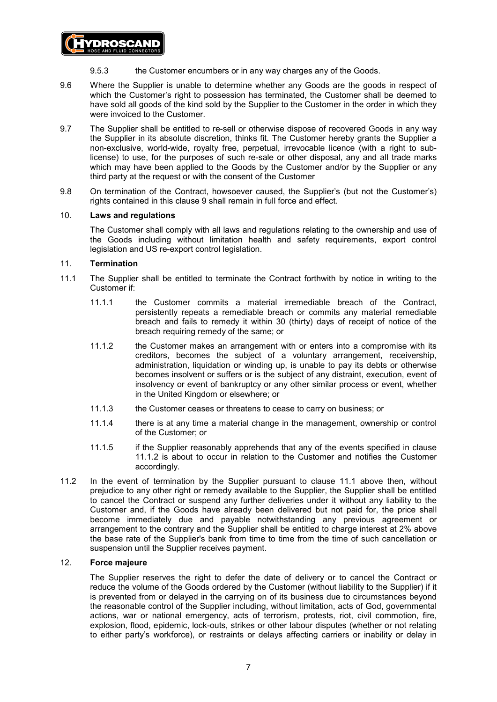

- 9.5.3 the Customer encumbers or in any way charges any of the Goods.
- 9.6 Where the Supplier is unable to determine whether any Goods are the goods in respect of which the Customer's right to possession has terminated, the Customer shall be deemed to have sold all goods of the kind sold by the Supplier to the Customer in the order in which they were invoiced to the Customer.
- 9.7 The Supplier shall be entitled to re-sell or otherwise dispose of recovered Goods in any way the Supplier in its absolute discretion, thinks fit. The Customer hereby grants the Supplier a non-exclusive, world-wide, royalty free, perpetual, irrevocable licence (with a right to sublicense) to use, for the purposes of such re-sale or other disposal, any and all trade marks which may have been applied to the Goods by the Customer and/or by the Supplier or any third party at the request or with the consent of the Customer
- 9.8 On termination of the Contract, howsoever caused, the Supplier's (but not the Customer's) rights contained in this clause [9](#page-5-0) shall remain in full force and effect.

#### 10. **Laws and regulations**

The Customer shall comply with all laws and regulations relating to the ownership and use of the Goods including without limitation health and safety requirements, export control legislation and US re-export control legislation.

#### 11. **Termination**

- <span id="page-6-1"></span><span id="page-6-0"></span>11.1 The Supplier shall be entitled to terminate the Contract forthwith by notice in writing to the Customer if:
	- 11.1.1 the Customer commits a material irremediable breach of the Contract, persistently repeats a remediable breach or commits any material remediable breach and fails to remedy it within 30 (thirty) days of receipt of notice of the breach requiring remedy of the same; or
	- 11.1.2 the Customer makes an arrangement with or enters into a compromise with its creditors, becomes the subject of a voluntary arrangement, receivership, administration, liquidation or winding up, is unable to pay its debts or otherwise becomes insolvent or suffers or is the subject of any distraint, execution, event of insolvency or event of bankruptcy or any other similar process or event, whether in the United Kingdom or elsewhere; or
	- 11.1.3 the Customer ceases or threatens to cease to carry on business; or
	- 11.1.4 there is at any time a material change in the management, ownership or control of the Customer; or
	- 11.1.5 if the Supplier reasonably apprehends that any of the events specified in clause [11.1.2](#page-6-0) is about to occur in relation to the Customer and notifies the Customer accordingly.
- 11.2 In the event of termination by the Supplier pursuant to clause [11.1](#page-6-1) above then, without prejudice to any other right or remedy available to the Supplier, the Supplier shall be entitled to cancel the Contract or suspend any further deliveries under it without any liability to the Customer and, if the Goods have already been delivered but not paid for, the price shall become immediately due and payable notwithstanding any previous agreement or arrangement to the contrary and the Supplier shall be entitled to charge interest at 2% above the base rate of the Supplier's bank from time to time from the time of such cancellation or suspension until the Supplier receives payment.

#### 12. **Force majeure**

The Supplier reserves the right to defer the date of delivery or to cancel the Contract or reduce the volume of the Goods ordered by the Customer (without liability to the Supplier) if it is prevented from or delayed in the carrying on of its business due to circumstances beyond the reasonable control of the Supplier including, without limitation, acts of God, governmental actions, war or national emergency, acts of terrorism, protests, riot, civil commotion, fire, explosion, flood, epidemic, lock-outs, strikes or other labour disputes (whether or not relating to either party's workforce), or restraints or delays affecting carriers or inability or delay in